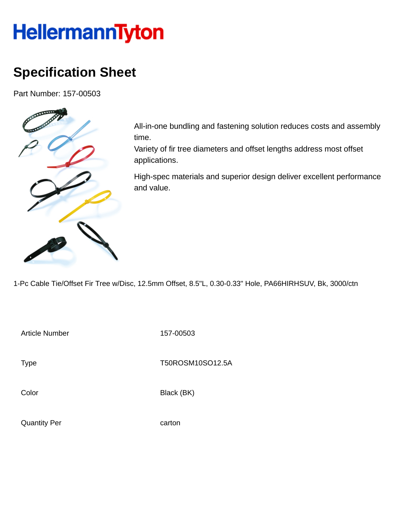## **HellermannTyton**

## **Specification Sheet**

Part Number: 157-00503



All-in-one bundling and fastening solution reduces costs and assembly time.

Variety of fir tree diameters and offset lengths address most offset applications.

High-spec materials and superior design deliver excellent performance and value.

1-Pc Cable Tie/Offset Fir Tree w/Disc, 12.5mm Offset, 8.5"L, 0.30-0.33" Hole, PA66HIRHSUV, Bk, 3000/ctn

Article Number 157-00503

Type Type T50ROSM10SO12.5A

Color Black (BK)

Quantity Per carton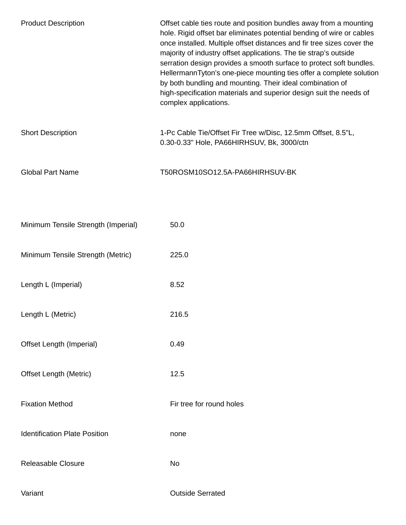| <b>Product Description</b>           | Offset cable ties route and position bundles away from a mounting<br>hole. Rigid offset bar eliminates potential bending of wire or cables<br>once installed. Multiple offset distances and fir tree sizes cover the<br>majority of industry offset applications. The tie strap's outside<br>serration design provides a smooth surface to protect soft bundles.<br>HellermannTyton's one-piece mounting ties offer a complete solution<br>by both bundling and mounting. Their ideal combination of<br>high-specification materials and superior design suit the needs of<br>complex applications. |
|--------------------------------------|-----------------------------------------------------------------------------------------------------------------------------------------------------------------------------------------------------------------------------------------------------------------------------------------------------------------------------------------------------------------------------------------------------------------------------------------------------------------------------------------------------------------------------------------------------------------------------------------------------|
| <b>Short Description</b>             | 1-Pc Cable Tie/Offset Fir Tree w/Disc, 12.5mm Offset, 8.5"L,<br>0.30-0.33" Hole, PA66HIRHSUV, Bk, 3000/ctn                                                                                                                                                                                                                                                                                                                                                                                                                                                                                          |
| <b>Global Part Name</b>              | T50ROSM10SO12.5A-PA66HIRHSUV-BK                                                                                                                                                                                                                                                                                                                                                                                                                                                                                                                                                                     |
|                                      |                                                                                                                                                                                                                                                                                                                                                                                                                                                                                                                                                                                                     |
| Minimum Tensile Strength (Imperial)  | 50.0                                                                                                                                                                                                                                                                                                                                                                                                                                                                                                                                                                                                |
| Minimum Tensile Strength (Metric)    | 225.0                                                                                                                                                                                                                                                                                                                                                                                                                                                                                                                                                                                               |
| Length L (Imperial)                  | 8.52                                                                                                                                                                                                                                                                                                                                                                                                                                                                                                                                                                                                |
| Length L (Metric)                    | 216.5                                                                                                                                                                                                                                                                                                                                                                                                                                                                                                                                                                                               |
| Offset Length (Imperial)             | 0.49                                                                                                                                                                                                                                                                                                                                                                                                                                                                                                                                                                                                |
| <b>Offset Length (Metric)</b>        | 12.5                                                                                                                                                                                                                                                                                                                                                                                                                                                                                                                                                                                                |
| <b>Fixation Method</b>               | Fir tree for round holes                                                                                                                                                                                                                                                                                                                                                                                                                                                                                                                                                                            |
| <b>Identification Plate Position</b> | none                                                                                                                                                                                                                                                                                                                                                                                                                                                                                                                                                                                                |
| Releasable Closure                   | No                                                                                                                                                                                                                                                                                                                                                                                                                                                                                                                                                                                                  |
| Variant                              | <b>Outside Serrated</b>                                                                                                                                                                                                                                                                                                                                                                                                                                                                                                                                                                             |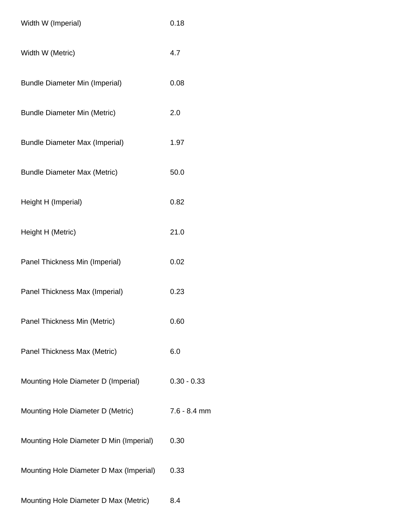| Width W (Imperial)                      | 0.18           |
|-----------------------------------------|----------------|
| Width W (Metric)                        | 4.7            |
| <b>Bundle Diameter Min (Imperial)</b>   | 0.08           |
| <b>Bundle Diameter Min (Metric)</b>     | 2.0            |
| <b>Bundle Diameter Max (Imperial)</b>   | 1.97           |
| <b>Bundle Diameter Max (Metric)</b>     | 50.0           |
| Height H (Imperial)                     | 0.82           |
| Height H (Metric)                       | 21.0           |
| Panel Thickness Min (Imperial)          | 0.02           |
| Panel Thickness Max (Imperial)          | 0.23           |
| Panel Thickness Min (Metric)            | 0.60           |
| Panel Thickness Max (Metric)            | 6.0            |
| Mounting Hole Diameter D (Imperial)     | $0.30 - 0.33$  |
| Mounting Hole Diameter D (Metric)       | $7.6 - 8.4$ mm |
| Mounting Hole Diameter D Min (Imperial) | 0.30           |
| Mounting Hole Diameter D Max (Imperial) | 0.33           |
| Mounting Hole Diameter D Max (Metric)   | 8.4            |